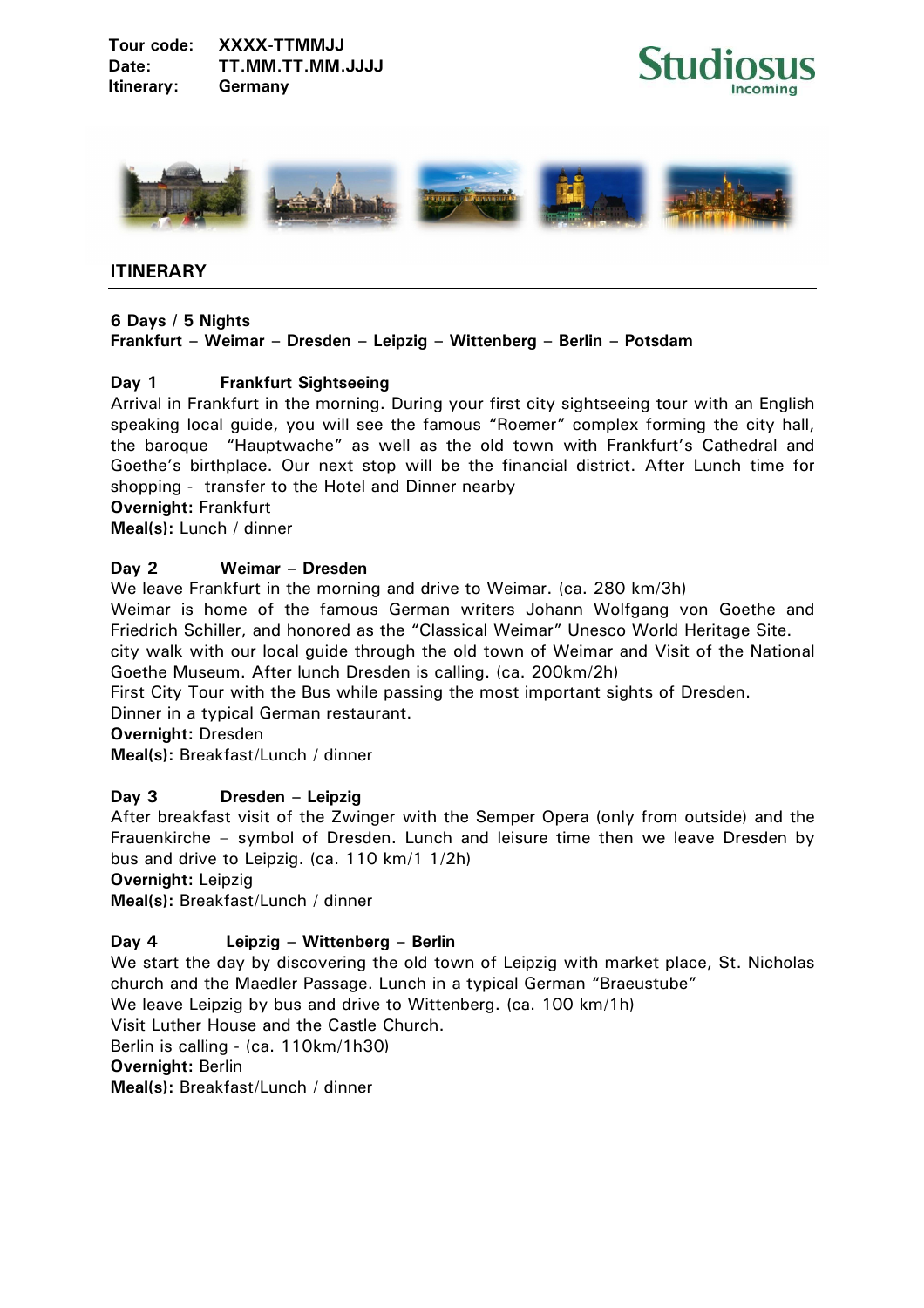



# **ITINERARY**

#### **6 Days / 5 Nights**

# **Frankfurt – Weimar – Dresden – Leipzig – Wittenberg – Berlin – Potsdam**

# **Day 1 Frankfurt Sightseeing**

Arrival in Frankfurt in the morning. During your first city sightseeing tour with an English speaking local guide, you will see the famous "Roemer" complex forming the city hall, the baroque "Hauptwache" as well as the old town with Frankfurt's Cathedral and Goethe's birthplace. Our next stop will be the financial district. After Lunch time for shopping - transfer to the Hotel and Dinner nearby

**Overnight:** Frankfurt

**Meal(s):** Lunch / dinner

# **Day 2 Weimar – Dresden**

We leave Frankfurt in the morning and drive to Weimar. (ca. 280 km/3h)

Weimar is home of the famous German writers Johann Wolfgang von Goethe and Friedrich Schiller, and honored as the "Classical Weimar" Unesco World Heritage Site.

city walk with our local guide through the old town of Weimar and Visit of the National Goethe Museum. After lunch Dresden is calling. (ca. 200km/2h)

First City Tour with the Bus while passing the most important sights of Dresden.

Dinner in a typical German restaurant.

**Overnight:** Dresden

**Meal(s):** Breakfast/Lunch / dinner

# **Day 3 Dresden – Leipzig**

After breakfast visit of the Zwinger with the Semper Opera (only from outside) and the Frauenkirche – symbol of Dresden. Lunch and leisure time then we leave Dresden by bus and drive to Leipzig. (ca. 110 km/1 1/2h)

**Overnight:** Leipzig

**Meal(s):** Breakfast/Lunch / dinner

# **Day 4 Leipzig – Wittenberg – Berlin**

We start the day by discovering the old town of Leipzig with market place, St. Nicholas church and the Maedler Passage. Lunch in a typical German "Braeustube" We leave Leipzig by bus and drive to Wittenberg. (ca. 100 km/1h) Visit Luther House and the Castle Church. Berlin is calling - (ca. 110km/1h30) **Overnight:** Berlin

**Meal(s):** Breakfast/Lunch / dinner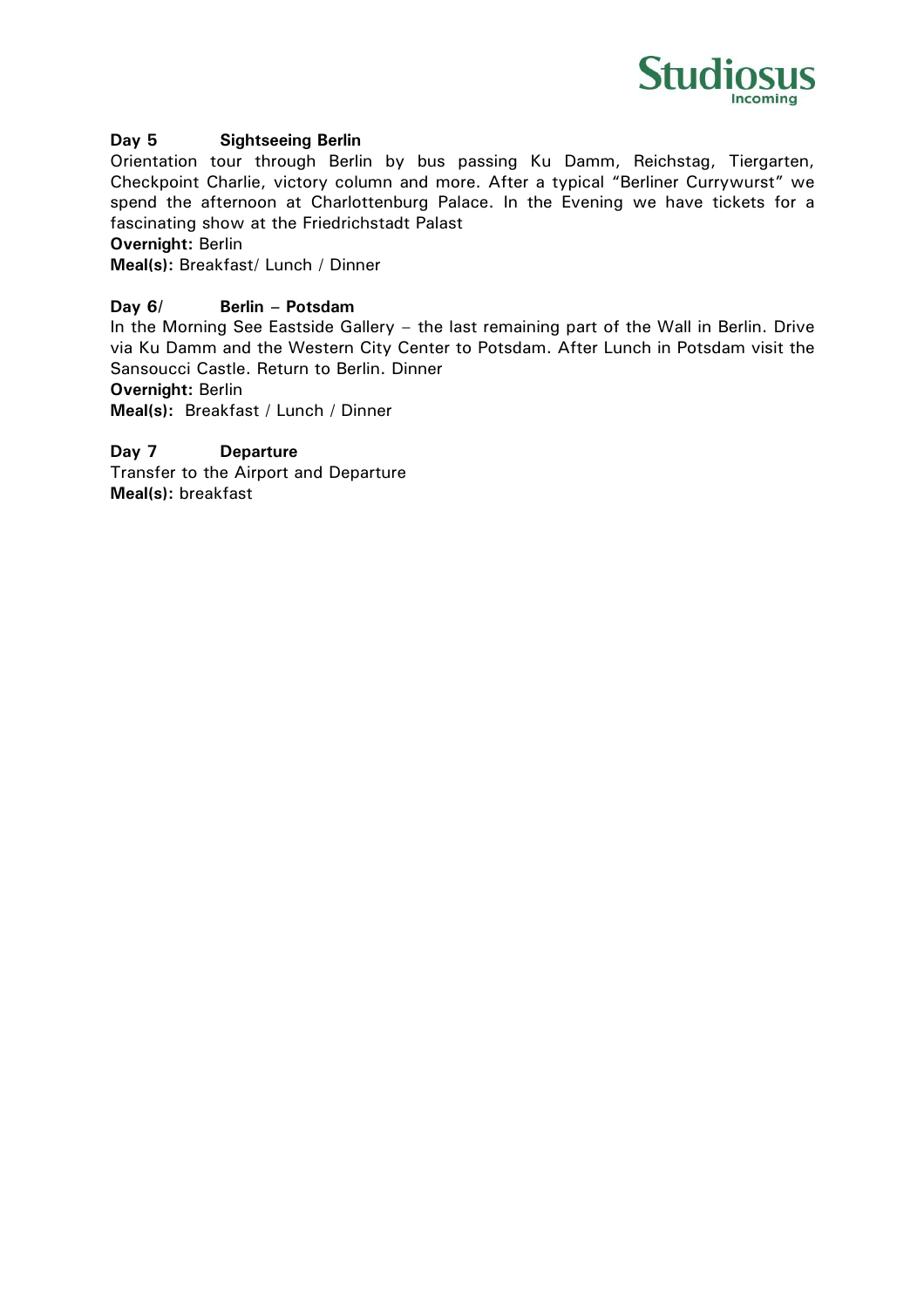

# **Day 5 Sightseeing Berlin**

Orientation tour through Berlin by bus passing Ku Damm, Reichstag, Tiergarten, Checkpoint Charlie, victory column and more. After a typical "Berliner Currywurst" we spend the afternoon at Charlottenburg Palace. In the Evening we have tickets for a fascinating show at the Friedrichstadt Palast

**Overnight:** Berlin

**Meal(s):** Breakfast/ Lunch / Dinner

# **Day 6/ Berlin – Potsdam**

In the Morning See Eastside Gallery – the last remaining part of the Wall in Berlin. Drive via Ku Damm and the Western City Center to Potsdam. After Lunch in Potsdam visit the Sansoucci Castle. Return to Berlin. Dinner

**Overnight:** Berlin

**Meal(s):** Breakfast / Lunch / Dinner

# **Day 7 Departure**

Transfer to the Airport and Departure **Meal(s):** breakfast